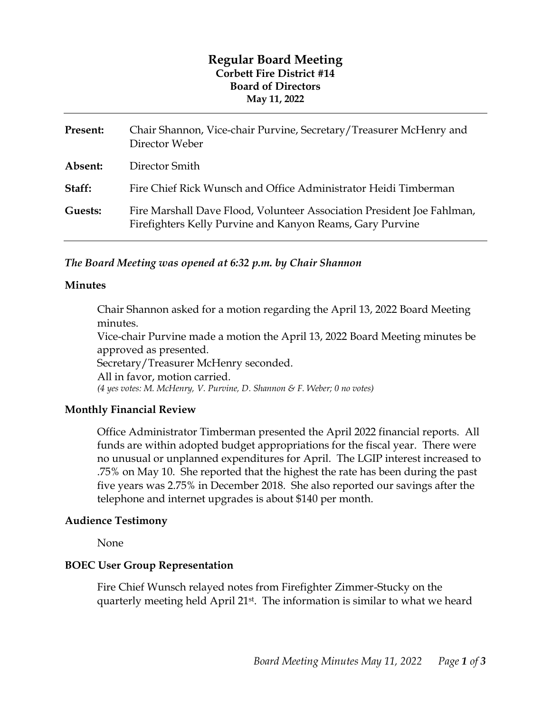# **Regular Board Meeting Corbett Fire District #14 Board of Directors May 11, 2022**

| Present: | Chair Shannon, Vice-chair Purvine, Secretary/Treasurer McHenry and<br>Director Weber                                                |
|----------|-------------------------------------------------------------------------------------------------------------------------------------|
| Absent:  | Director Smith                                                                                                                      |
| Staff:   | Fire Chief Rick Wunsch and Office Administrator Heidi Timberman                                                                     |
| Guests:  | Fire Marshall Dave Flood, Volunteer Association President Joe Fahlman,<br>Firefighters Kelly Purvine and Kanyon Reams, Gary Purvine |

### *The Board Meeting was opened at 6:32 p.m. by Chair Shannon*

#### **Minutes**

Chair Shannon asked for a motion regarding the April 13, 2022 Board Meeting minutes. Vice-chair Purvine made a motion the April 13, 2022 Board Meeting minutes be approved as presented. Secretary/Treasurer McHenry seconded. All in favor, motion carried. *(4 yes votes: M. McHenry, V. Purvine, D. Shannon & F. Weber; 0 no votes)* 

#### **Monthly Financial Review**

Office Administrator Timberman presented the April 2022 financial reports. All funds are within adopted budget appropriations for the fiscal year. There were no unusual or unplanned expenditures for April. The LGIP interest increased to .75% on May 10. She reported that the highest the rate has been during the past five years was 2.75% in December 2018. She also reported our savings after the telephone and internet upgrades is about \$140 per month.

#### **Audience Testimony**

None

#### **BOEC User Group Representation**

Fire Chief Wunsch relayed notes from Firefighter Zimmer-Stucky on the quarterly meeting held April 21st. The information is similar to what we heard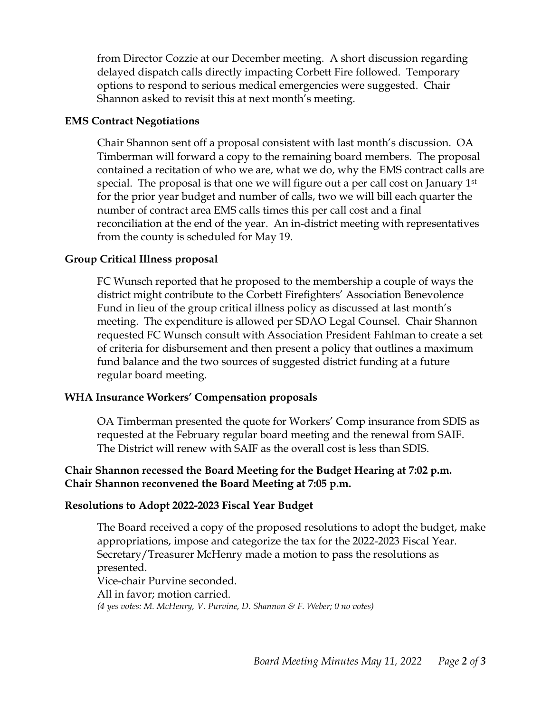from Director Cozzie at our December meeting. A short discussion regarding delayed dispatch calls directly impacting Corbett Fire followed. Temporary options to respond to serious medical emergencies were suggested. Chair Shannon asked to revisit this at next month's meeting.

### **EMS Contract Negotiations**

Chair Shannon sent off a proposal consistent with last month's discussion. OA Timberman will forward a copy to the remaining board members. The proposal contained a recitation of who we are, what we do, why the EMS contract calls are special. The proposal is that one we will figure out a per call cost on January 1<sup>st</sup> for the prior year budget and number of calls, two we will bill each quarter the number of contract area EMS calls times this per call cost and a final reconciliation at the end of the year. An in-district meeting with representatives from the county is scheduled for May 19.

### **Group Critical Illness proposal**

FC Wunsch reported that he proposed to the membership a couple of ways the district might contribute to the Corbett Firefighters' Association Benevolence Fund in lieu of the group critical illness policy as discussed at last month's meeting. The expenditure is allowed per SDAO Legal Counsel. Chair Shannon requested FC Wunsch consult with Association President Fahlman to create a set of criteria for disbursement and then present a policy that outlines a maximum fund balance and the two sources of suggested district funding at a future regular board meeting.

#### **WHA Insurance Workers' Compensation proposals**

OA Timberman presented the quote for Workers' Comp insurance from SDIS as requested at the February regular board meeting and the renewal from SAIF. The District will renew with SAIF as the overall cost is less than SDIS.

## **Chair Shannon recessed the Board Meeting for the Budget Hearing at 7:02 p.m. Chair Shannon reconvened the Board Meeting at 7:05 p.m.**

#### **Resolutions to Adopt 2022-2023 Fiscal Year Budget**

The Board received a copy of the proposed resolutions to adopt the budget, make appropriations, impose and categorize the tax for the 2022-2023 Fiscal Year. Secretary/Treasurer McHenry made a motion to pass the resolutions as presented. Vice-chair Purvine seconded. All in favor; motion carried. *(4 yes votes: M. McHenry, V. Purvine, D. Shannon & F. Weber; 0 no votes)*